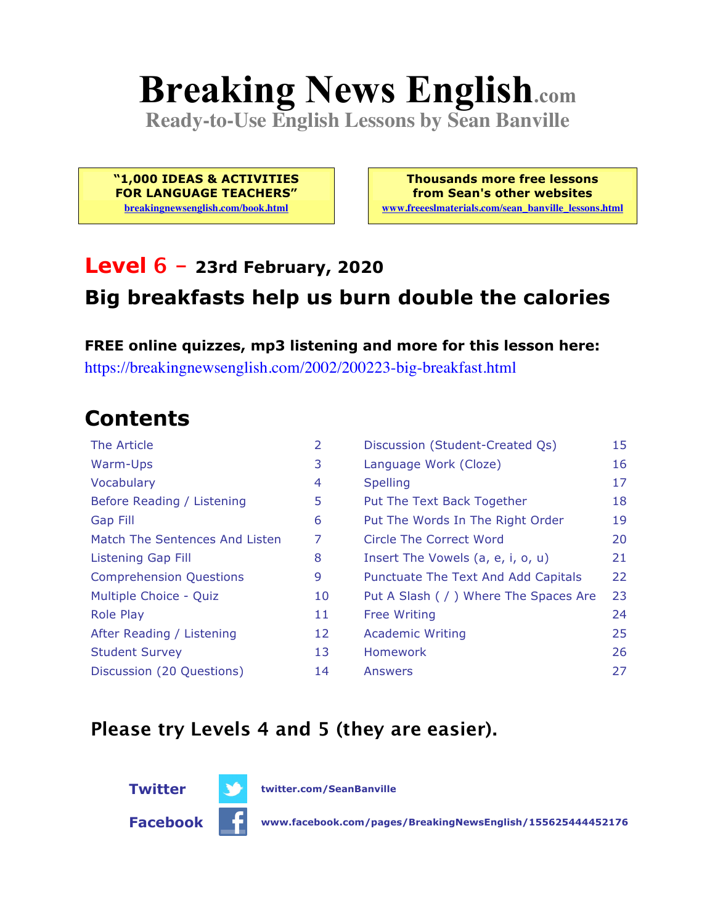# **Breaking News English.com**

**Ready-to-Use English Lessons by Sean Banville**

**"1,000 IDEAS & ACTIVITIES FOR LANGUAGE TEACHERS" breakingnewsenglish.com/book.html**

**Thousands more free lessons from Sean's other websites www.freeeslmaterials.com/sean\_banville\_lessons.html**

#### **Level 6 - 23rd February, 2020 Big breakfasts help us burn double the calories**

**FREE online quizzes, mp3 listening and more for this lesson here:** https://breakingnewsenglish.com/2002/200223-big-breakfast.html

### **Contents**

| The Article                    | 2  | Discussion (Student-Created Qs)        | 15 |
|--------------------------------|----|----------------------------------------|----|
| Warm-Ups                       | 3  | Language Work (Cloze)                  | 16 |
| Vocabulary                     | 4  | <b>Spelling</b>                        | 17 |
| Before Reading / Listening     | 5  | Put The Text Back Together             | 18 |
| Gap Fill                       | 6  | Put The Words In The Right Order       | 19 |
| Match The Sentences And Listen | 7  | Circle The Correct Word                | 20 |
| Listening Gap Fill             | 8  | Insert The Vowels (a, e, i, o, u)      | 21 |
| <b>Comprehension Questions</b> | 9  | Punctuate The Text And Add Capitals    | 22 |
| Multiple Choice - Quiz         | 10 | Put A Slash ( / ) Where The Spaces Are | 23 |
| <b>Role Play</b>               | 11 | <b>Free Writing</b>                    | 24 |
| After Reading / Listening      | 12 | <b>Academic Writing</b>                | 25 |
| <b>Student Survey</b>          | 13 | Homework                               | 26 |
| Discussion (20 Questions)      | 14 | Answers                                | 27 |

#### **Please try Levels 4 and 5 (they are easier).**



**Twitter twitter.com/SeanBanville**

**Facebook www.facebook.com/pages/BreakingNewsEnglish/155625444452176**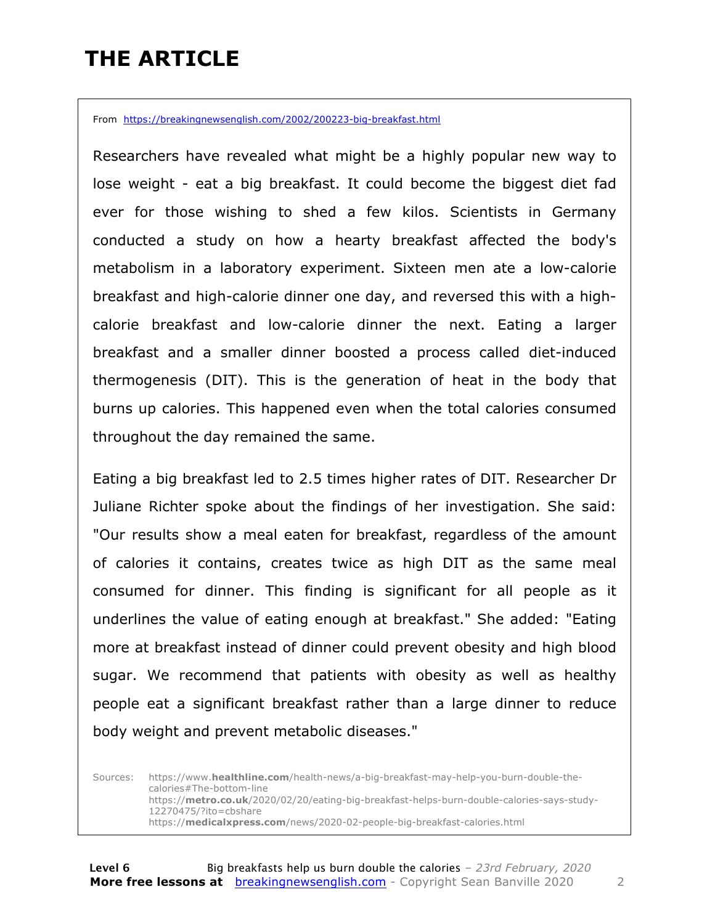### **THE ARTICLE**

From https://breakingnewsenglish.com/2002/200223-big-breakfast.html

Researchers have revealed what might be a highly popular new way to lose weight - eat a big breakfast. It could become the biggest diet fad ever for those wishing to shed a few kilos. Scientists in Germany conducted a study on how a hearty breakfast affected the body's metabolism in a laboratory experiment. Sixteen men ate a low-calorie breakfast and high-calorie dinner one day, and reversed this with a highcalorie breakfast and low-calorie dinner the next. Eating a larger breakfast and a smaller dinner boosted a process called diet-induced thermogenesis (DIT). This is the generation of heat in the body that burns up calories. This happened even when the total calories consumed throughout the day remained the same.

Eating a big breakfast led to 2.5 times higher rates of DIT. Researcher Dr Juliane Richter spoke about the findings of her investigation. She said: "Our results show a meal eaten for breakfast, regardless of the amount of calories it contains, creates twice as high DIT as the same meal consumed for dinner. This finding is significant for all people as it underlines the value of eating enough at breakfast." She added: "Eating more at breakfast instead of dinner could prevent obesity and high blood sugar. We recommend that patients with obesity as well as healthy people eat a significant breakfast rather than a large dinner to reduce body weight and prevent metabolic diseases."

Sources: https://www.**healthline.com**/health-news/a-big-breakfast-may-help-you-burn-double-thecalories#The-bottom-line https://**metro.co.uk**/2020/02/20/eating-big-breakfast-helps-burn-double-calories-says-study-12270475/?ito=cbshare https://**medicalxpress.com**/news/2020-02-people-big-breakfast-calories.html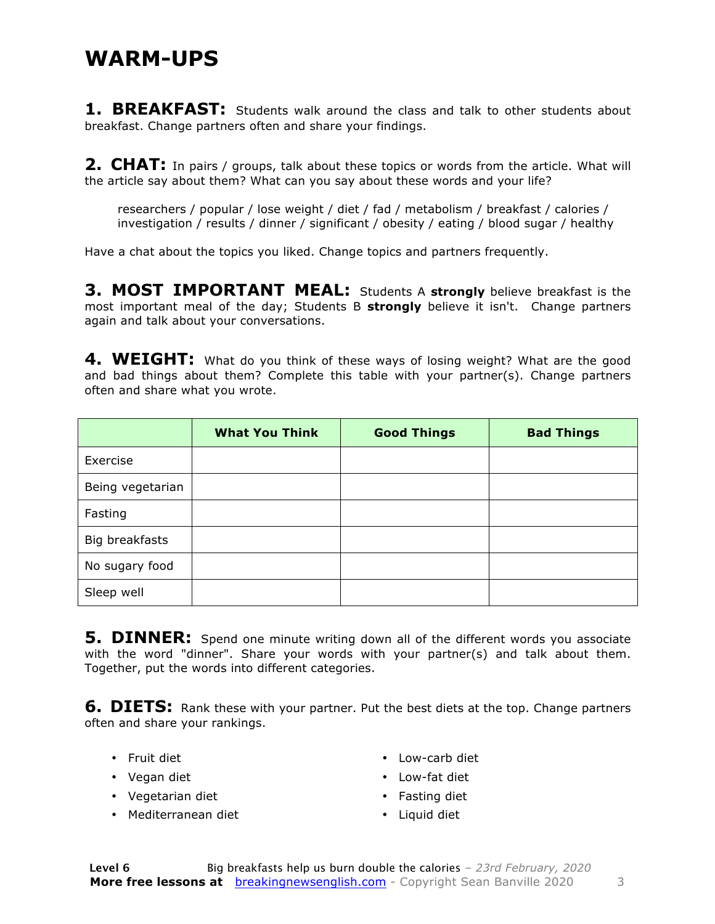#### **WARM-UPS**

**1. BREAKFAST:** Students walk around the class and talk to other students about breakfast. Change partners often and share your findings.

**2. CHAT:** In pairs / groups, talk about these topics or words from the article. What will the article say about them? What can you say about these words and your life?

researchers / popular / lose weight / diet / fad / metabolism / breakfast / calories / investigation / results / dinner / significant / obesity / eating / blood sugar / healthy

Have a chat about the topics you liked. Change topics and partners frequently.

**3. MOST IMPORTANT MEAL:** Students A **strongly** believe breakfast is the most important meal of the day; Students B **strongly** believe it isn't. Change partners again and talk about your conversations.

**4. WEIGHT:** What do you think of these ways of losing weight? What are the good and bad things about them? Complete this table with your partner(s). Change partners often and share what you wrote.

|                  | <b>What You Think</b> | <b>Good Things</b> | <b>Bad Things</b> |
|------------------|-----------------------|--------------------|-------------------|
| Exercise         |                       |                    |                   |
| Being vegetarian |                       |                    |                   |
| Fasting          |                       |                    |                   |
| Big breakfasts   |                       |                    |                   |
| No sugary food   |                       |                    |                   |
| Sleep well       |                       |                    |                   |

**5. DINNER:** Spend one minute writing down all of the different words you associate with the word "dinner". Share your words with your partner(s) and talk about them. Together, put the words into different categories.

**6. DIETS:** Rank these with your partner. Put the best diets at the top. Change partners often and share your rankings.

- Fruit diet
- Vegan diet
- Vegetarian diet
- Mediterranean diet
- Low-carb diet
- Low-fat diet
- Fasting diet
- Liquid diet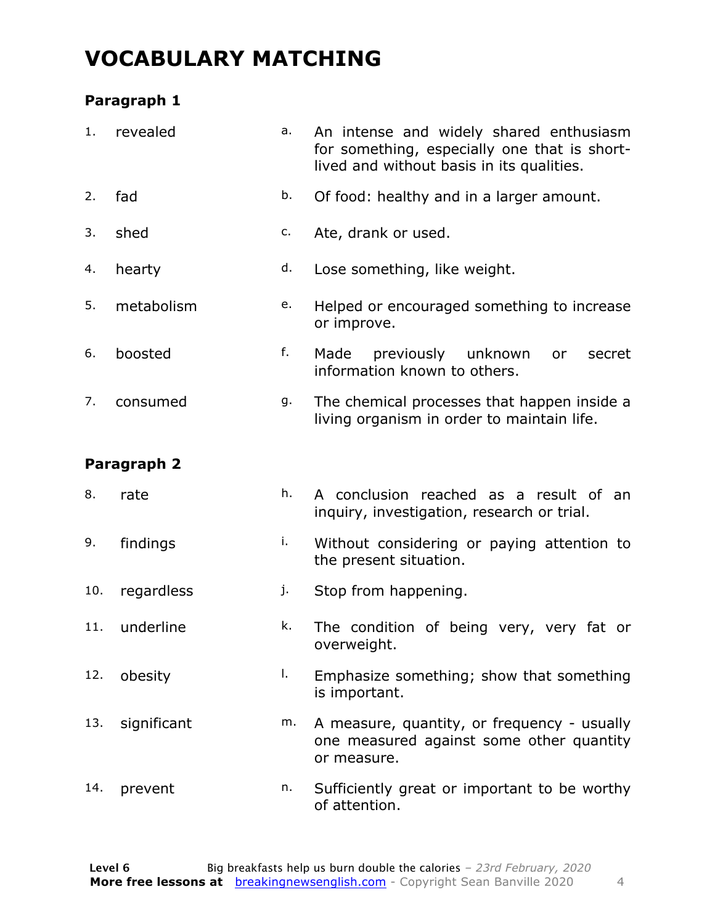#### **VOCABULARY MATCHING**

#### **Paragraph 1**

| 1.  | revealed    | a. | An intense and widely shared enthusiasm<br>for something, especially one that is short-<br>lived and without basis in its qualities. |  |  |  |  |
|-----|-------------|----|--------------------------------------------------------------------------------------------------------------------------------------|--|--|--|--|
| 2.  | fad         | b. | Of food: healthy and in a larger amount.                                                                                             |  |  |  |  |
| 3.  | shed        | c. | Ate, drank or used.                                                                                                                  |  |  |  |  |
| 4.  | hearty      | d. | Lose something, like weight.                                                                                                         |  |  |  |  |
| 5.  | metabolism  | e. | Helped or encouraged something to increase<br>or improve.                                                                            |  |  |  |  |
| 6.  | boosted     | f. | previously unknown<br>Made<br>or<br>secret<br>information known to others.                                                           |  |  |  |  |
| 7.  | consumed    | g. | The chemical processes that happen inside a<br>living organism in order to maintain life.                                            |  |  |  |  |
|     | Paragraph 2 |    |                                                                                                                                      |  |  |  |  |
| 8.  | rate        | h. | A conclusion reached as a result of an<br>inquiry, investigation, research or trial.                                                 |  |  |  |  |
| 9.  | findings    | i. | Without considering or paying attention to<br>the present situation.                                                                 |  |  |  |  |
| 10. | regardless  | j. | Stop from happening.                                                                                                                 |  |  |  |  |
| 11. | underline   | k. | The condition of being very, very fat or<br>overweight.                                                                              |  |  |  |  |
| 12. | obesity     | I. | Emphasize something; show that something<br>is important.                                                                            |  |  |  |  |
| 13. | significant | m. | A measure, quantity, or frequency - usually<br>one measured against some other quantity<br>or measure.                               |  |  |  |  |
| 14. | prevent     | n. | Sufficiently great or important to be worthy<br>of attention.                                                                        |  |  |  |  |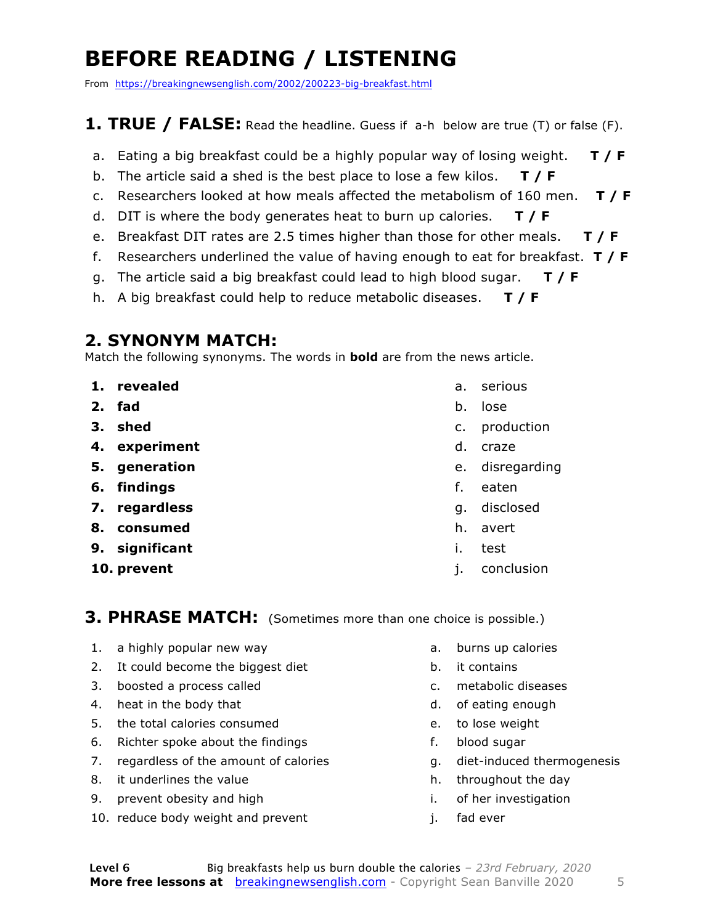### **BEFORE READING / LISTENING**

From https://breakingnewsenglish.com/2002/200223-big-breakfast.html

#### **1. TRUE / FALSE:** Read the headline. Guess if a-h below are true (T) or false (F).

- a. Eating a big breakfast could be a highly popular way of losing weight. **T / F**
- b. The article said a shed is the best place to lose a few kilos. **T / F**
- c. Researchers looked at how meals affected the metabolism of 160 men. **T / F**
- d. DIT is where the body generates heat to burn up calories. **T / F**
- e. Breakfast DIT rates are 2.5 times higher than those for other meals. **T / F**
- f. Researchers underlined the value of having enough to eat for breakfast. **T / F**
- g. The article said a big breakfast could lead to high blood sugar. **T / F**
- h. A big breakfast could help to reduce metabolic diseases. **T / F**

#### **2. SYNONYM MATCH:**

Match the following synonyms. The words in **bold** are from the news article.

- **1. revealed**
- **2. fad**
- **3. shed**
- **4. experiment**
- **5. generation**
- **6. findings**
- **7. regardless**
- **8. consumed**
- **9. significant**
- **10. prevent**
- a. serious
- b. lose
- c. production
- d. craze
- e. disregarding
- f. eaten
- g. disclosed
- h. avert
- i. test
- j. conclusion

**3. PHRASE MATCH:** (Sometimes more than one choice is possible.)

- 1. a highly popular new way
- 2. It could become the biggest diet
- 3. boosted a process called
- 4. heat in the body that
- 5. the total calories consumed
- 6. Richter spoke about the findings
- 7. regardless of the amount of calories
- 8. it underlines the value
- 9. prevent obesity and high
- 10. reduce body weight and prevent
- a. burns up calories
- b. it contains
- c. metabolic diseases
- d. of eating enough
- e. to lose weight
- f. blood sugar
- g. diet-induced thermogenesis
- h. throughout the day
- i. of her investigation
- j. fad ever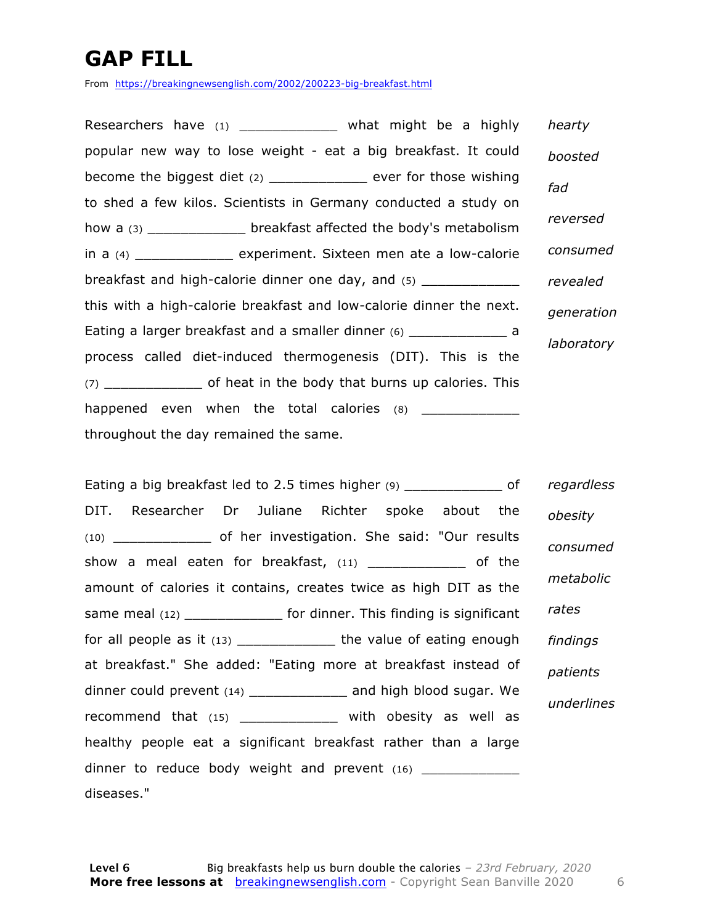### **GAP FILL**

From https://breakingnewsenglish.com/2002/200223-big-breakfast.html

Researchers have (1) \_\_\_\_\_\_\_\_\_\_\_\_\_\_\_ what might be a highly popular new way to lose weight - eat a big breakfast. It could become the biggest diet (2) \_\_\_\_\_\_\_\_\_\_\_\_ ever for those wishing to shed a few kilos. Scientists in Germany conducted a study on how a (3) \_\_\_\_\_\_\_\_\_\_\_\_ breakfast affected the body's metabolism in a (4) \_\_\_\_\_\_\_\_\_\_\_\_ experiment. Sixteen men ate a low-calorie breakfast and high-calorie dinner one day, and (5) this with a high-calorie breakfast and low-calorie dinner the next. Eating a larger breakfast and a smaller dinner (6) \_\_\_\_\_\_\_\_\_\_\_\_\_\_\_\_\_ a process called diet-induced thermogenesis (DIT). This is the (7) \_\_\_\_\_\_\_\_\_\_\_\_ of heat in the body that burns up calories. This happened even when the total calories  $(8)$ throughout the day remained the same. *hearty boosted fad reversed consumed revealed generation laboratory*

Eating a big breakfast led to 2.5 times higher (9) \_\_\_\_\_\_\_\_\_\_\_\_\_\_\_\_\_\_ of DIT. Researcher Dr Juliane Richter spoke about the (10) \_\_\_\_\_\_\_\_\_\_\_\_ of her investigation. She said: "Our results show a meal eaten for breakfast, (11) \_\_\_\_\_\_\_\_\_\_\_\_\_ of the amount of calories it contains, creates twice as high DIT as the same meal (12) \_\_\_\_\_\_\_\_\_\_\_\_\_ for dinner. This finding is significant for all people as it (13) \_\_\_\_\_\_\_\_\_\_\_\_\_\_\_\_ the value of eating enough at breakfast." She added: "Eating more at breakfast instead of dinner could prevent (14) \_\_\_\_\_\_\_\_\_\_\_\_ and high blood sugar. We recommend that (15) \_\_\_\_\_\_\_\_\_\_\_\_\_\_ with obesity as well as healthy people eat a significant breakfast rather than a large dinner to reduce body weight and prevent  $(16)$  \_\_\_\_\_\_\_\_\_\_\_ diseases." *regardless obesity consumed metabolic rates findings patients underlines*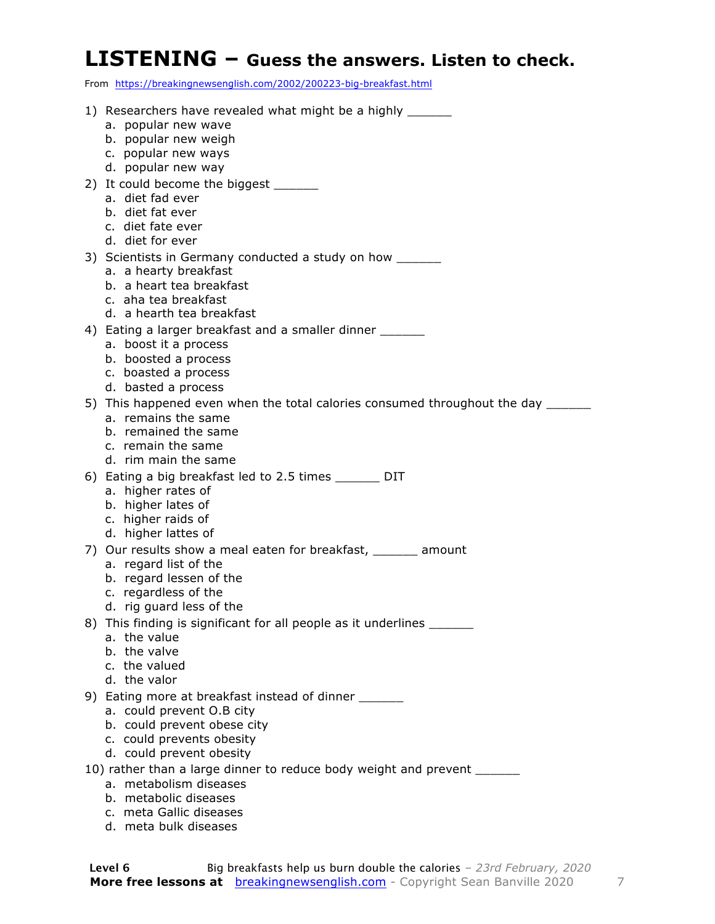#### **LISTENING – Guess the answers. Listen to check.**

From https://breakingnewsenglish.com/2002/200223-big-breakfast.html

| 1) Researchers have revealed what might be a highly _______<br>a. popular new wave<br>b. popular new weigh                                                                    |
|-------------------------------------------------------------------------------------------------------------------------------------------------------------------------------|
| c. popular new ways<br>d. popular new way<br>2) It could become the biggest _______<br>a. diet fad ever                                                                       |
| b. diet fat ever<br>c. diet fate ever<br>d. diet for ever                                                                                                                     |
| 3) Scientists in Germany conducted a study on how _______<br>a. a hearty breakfast<br>b. a heart tea breakfast<br>c. aha tea breakfast<br>d. a hearth tea breakfast           |
| 4) Eating a larger breakfast and a smaller dinner<br>a. boost it a process<br>b. boosted a process<br>c. boasted a process<br>d. basted a process                             |
| 5) This happened even when the total calories consumed throughout the day ______<br>a. remains the same<br>b. remained the same<br>c. remain the same<br>d. rim main the same |
| 6) Eating a big breakfast led to 2.5 times _______ DIT<br>a. higher rates of<br>b. higher lates of<br>c. higher raids of<br>d. higher lattes of                               |
| 7) Our results show a meal eaten for breakfast, _______ amount<br>a. regard list of the<br>b. regard lessen of the<br>c. regardless of the<br>d. rig guard less of the        |
| 8) This finding is significant for all people as it underlines _______<br>a. the value<br>b. the valve<br>c. the valued<br>d. the valor                                       |
| 9) Eating more at breakfast instead of dinner _______<br>a. could prevent O.B city<br>b. could prevent obese city<br>c. could prevents obesity<br>d. could prevent obesity    |
| 10) rather than a large dinner to reduce body weight and prevent ______                                                                                                       |
| a. metabolism diseases<br>b. metabolic diseases                                                                                                                               |
| c. meta Gallic diseases                                                                                                                                                       |
| d. meta bulk diseases                                                                                                                                                         |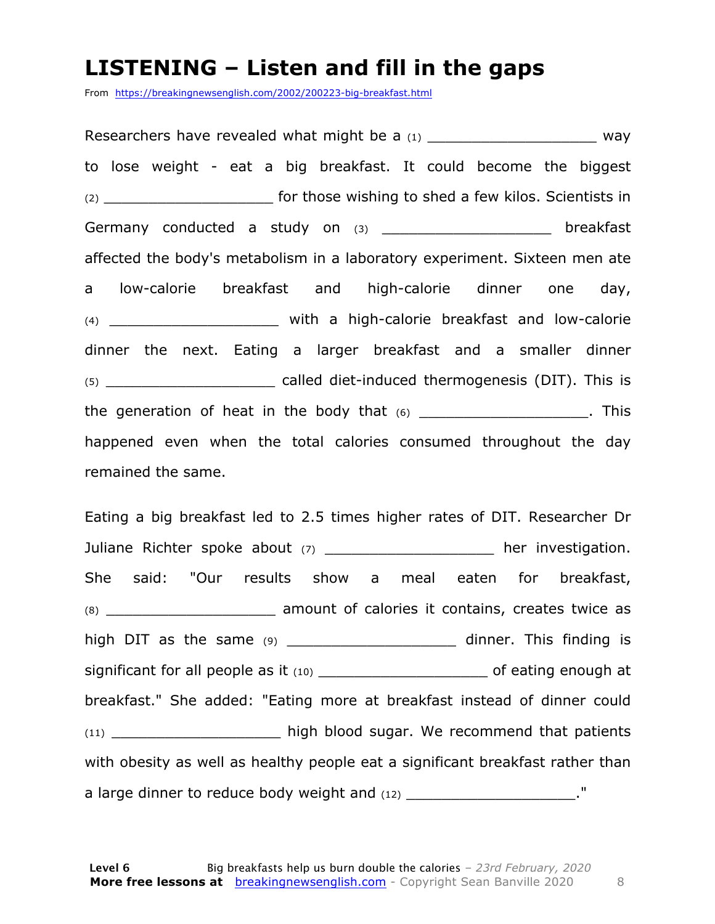#### **LISTENING – Listen and fill in the gaps**

From https://breakingnewsenglish.com/2002/200223-big-breakfast.html

Researchers have revealed what might be a  $(1)$   $\hspace{1.5cm}$  way to lose weight - eat a big breakfast. It could become the biggest (2) \_\_\_\_\_\_\_\_\_\_\_\_\_\_\_\_\_\_\_ for those wishing to shed a few kilos. Scientists in Germany conducted a study on (3) \_\_\_\_\_\_\_\_\_\_\_\_\_\_\_\_\_\_\_\_\_ breakfast affected the body's metabolism in a laboratory experiment. Sixteen men ate a low-calorie breakfast and high-calorie dinner one day, (4) \_\_\_\_\_\_\_\_\_\_\_\_\_\_\_\_\_\_\_ with a high-calorie breakfast and low-calorie dinner the next. Eating a larger breakfast and a smaller dinner (5) \_\_\_\_\_\_\_\_\_\_\_\_\_\_\_\_\_\_\_ called diet-induced thermogenesis (DIT). This is the generation of heat in the body that  $(6)$  \_\_\_\_\_\_\_\_\_\_\_\_\_\_\_\_\_\_\_\_. This happened even when the total calories consumed throughout the day remained the same.

Eating a big breakfast led to 2.5 times higher rates of DIT. Researcher Dr Juliane Richter spoke about (7) \_\_\_\_\_\_\_\_\_\_\_\_\_\_\_\_\_\_\_\_ her investigation. She said: "Our results show a meal eaten for breakfast, (8) \_\_\_\_\_\_\_\_\_\_\_\_\_\_\_\_\_\_\_ amount of calories it contains, creates twice as high DIT as the same (9) \_\_\_\_\_\_\_\_\_\_\_\_\_\_\_\_\_\_\_\_\_\_\_ dinner. This finding is significant for all people as it (10) \_\_\_\_\_\_\_\_\_\_\_\_\_\_\_\_\_\_\_\_\_\_\_\_\_\_\_\_ of eating enough at breakfast." She added: "Eating more at breakfast instead of dinner could (11) **high blood sugar. We recommend that patients** with obesity as well as healthy people eat a significant breakfast rather than a large dinner to reduce body weight and (12) \_\_\_\_\_\_\_\_\_\_\_\_\_\_\_\_\_\_\_\_\_."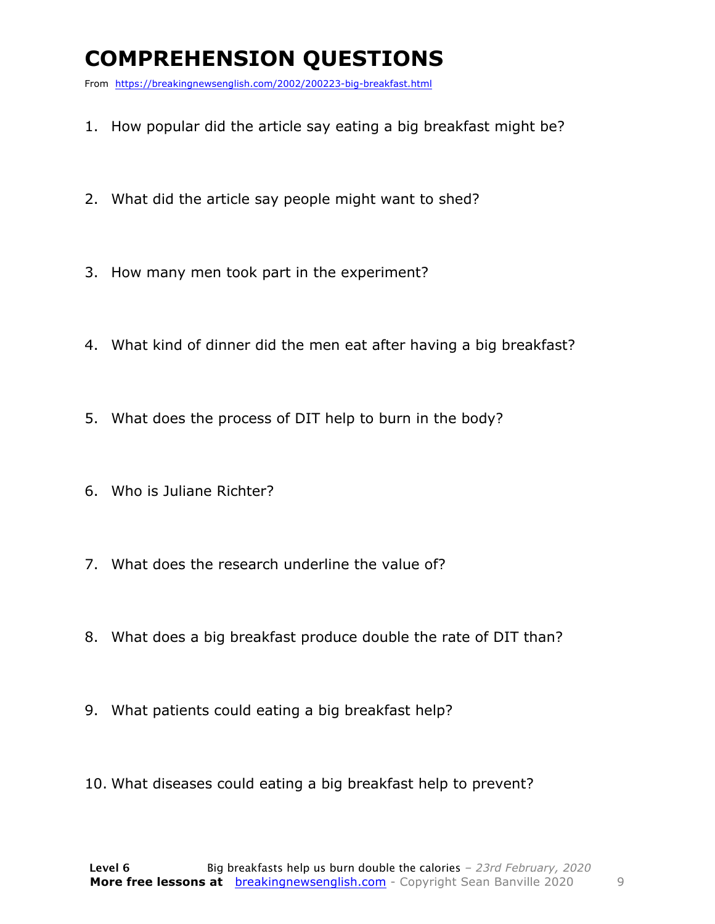### **COMPREHENSION QUESTIONS**

From https://breakingnewsenglish.com/2002/200223-big-breakfast.html

- 1. How popular did the article say eating a big breakfast might be?
- 2. What did the article say people might want to shed?
- 3. How many men took part in the experiment?
- 4. What kind of dinner did the men eat after having a big breakfast?
- 5. What does the process of DIT help to burn in the body?
- 6. Who is Juliane Richter?
- 7. What does the research underline the value of?
- 8. What does a big breakfast produce double the rate of DIT than?
- 9. What patients could eating a big breakfast help?
- 10. What diseases could eating a big breakfast help to prevent?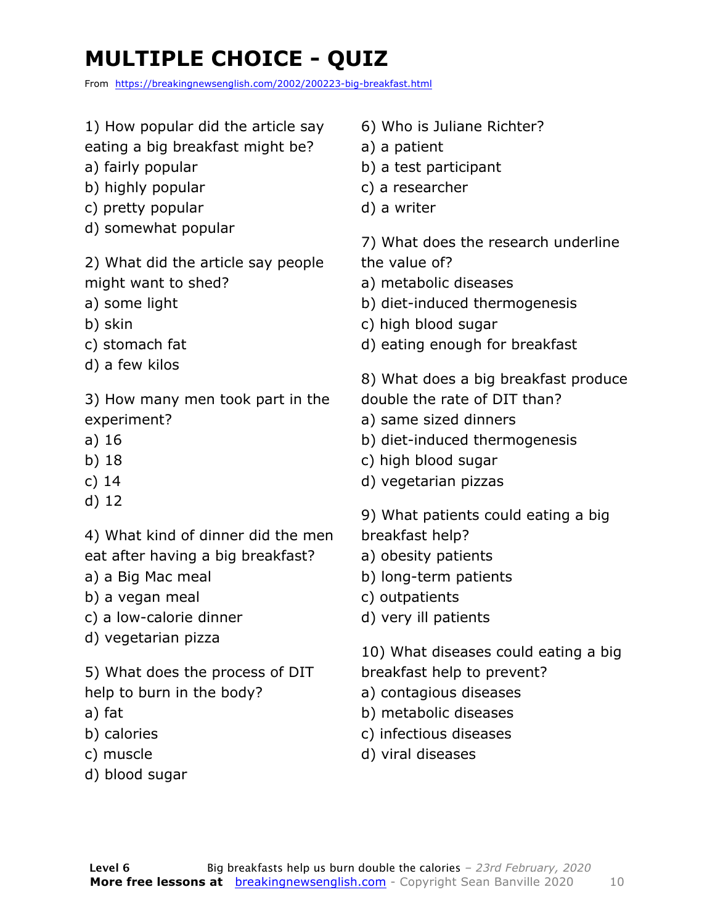### **MULTIPLE CHOICE - QUIZ**

From https://breakingnewsenglish.com/2002/200223-big-breakfast.html

- 1) How popular did the article say
- eating a big breakfast might be?
- a) fairly popular
- b) highly popular
- c) pretty popular
- d) somewhat popular

2) What did the article say people might want to shed?

- a) some light
- b) skin
- c) stomach fat
- d) a few kilos

3) How many men took part in the experiment?

- a) 16
- b) 18
- c) 14
- d) 12

4) What kind of dinner did the men eat after having a big breakfast?

- a) a Big Mac meal
- b) a vegan meal
- c) a low-calorie dinner
- d) vegetarian pizza

5) What does the process of DIT help to burn in the body?

- a) fat
- b) calories
- c) muscle
- d) blood sugar
- 6) Who is Juliane Richter?
- a) a patient
- b) a test participant
- c) a researcher
- d) a writer

7) What does the research underline the value of?

- a) metabolic diseases
- b) diet-induced thermogenesis
- c) high blood sugar
- d) eating enough for breakfast

8) What does a big breakfast produce double the rate of DIT than?

- a) same sized dinners
- b) diet-induced thermogenesis
- c) high blood sugar
- d) vegetarian pizzas
- 9) What patients could eating a big
- breakfast help?
- a) obesity patients
- b) long-term patients
- c) outpatients
- d) very ill patients

10) What diseases could eating a big breakfast help to prevent?

- a) contagious diseases
- 
- b) metabolic diseases
- c) infectious diseases
- d) viral diseases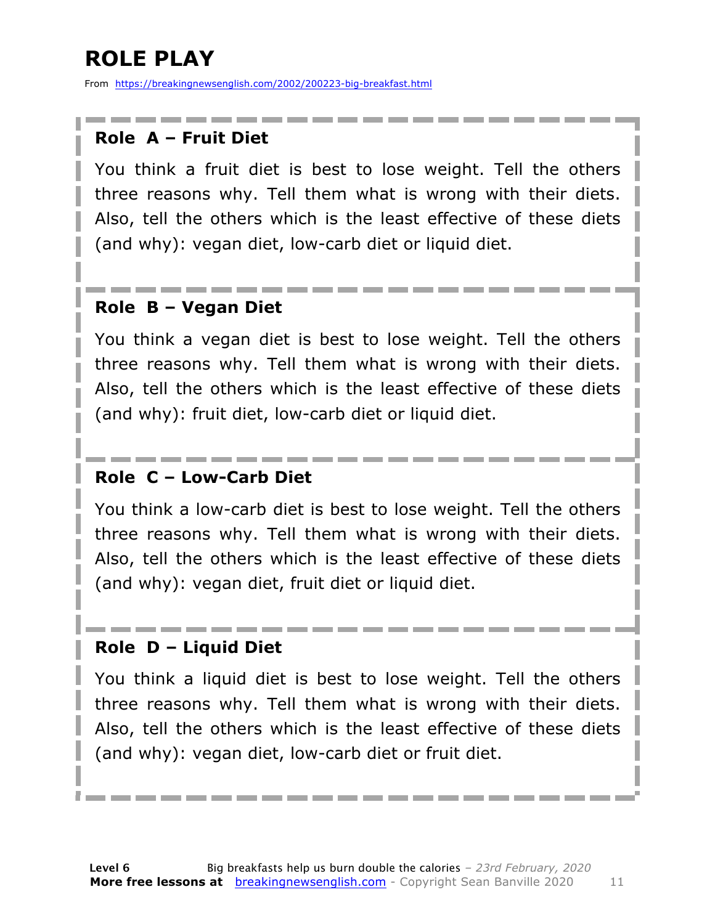### **ROLE PLAY**

From https://breakingnewsenglish.com/2002/200223-big-breakfast.html

#### **Role A – Fruit Diet**

You think a fruit diet is best to lose weight. Tell the others three reasons why. Tell them what is wrong with their diets. Also, tell the others which is the least effective of these diets (and why): vegan diet, low-carb diet or liquid diet.

#### **Role B – Vegan Diet**

You think a vegan diet is best to lose weight. Tell the others three reasons why. Tell them what is wrong with their diets. Also, tell the others which is the least effective of these diets (and why): fruit diet, low-carb diet or liquid diet.

#### **Role C – Low-Carb Diet**

You think a low-carb diet is best to lose weight. Tell the others three reasons why. Tell them what is wrong with their diets. Also, tell the others which is the least effective of these diets (and why): vegan diet, fruit diet or liquid diet.

#### **Role D – Liquid Diet**

You think a liquid diet is best to lose weight. Tell the others three reasons why. Tell them what is wrong with their diets. Also, tell the others which is the least effective of these diets (and why): vegan diet, low-carb diet or fruit diet.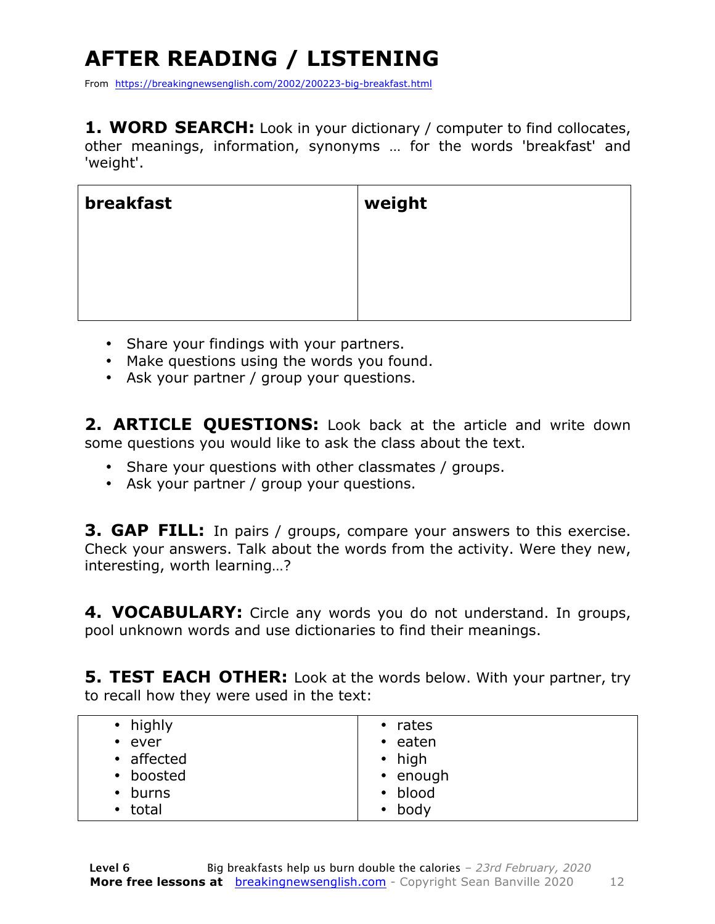## **AFTER READING / LISTENING**

From https://breakingnewsenglish.com/2002/200223-big-breakfast.html

**1. WORD SEARCH:** Look in your dictionary / computer to find collocates, other meanings, information, synonyms … for the words 'breakfast' and 'weight'.

| breakfast | weight |
|-----------|--------|
|           |        |
|           |        |
|           |        |

- Share your findings with your partners.
- Make questions using the words you found.
- Ask your partner / group your questions.

**2. ARTICLE QUESTIONS:** Look back at the article and write down some questions you would like to ask the class about the text.

- Share your questions with other classmates / groups.
- Ask your partner / group your questions.

**3. GAP FILL:** In pairs / groups, compare your answers to this exercise. Check your answers. Talk about the words from the activity. Were they new, interesting, worth learning…?

**4. VOCABULARY:** Circle any words you do not understand. In groups, pool unknown words and use dictionaries to find their meanings.

**5. TEST EACH OTHER:** Look at the words below. With your partner, try to recall how they were used in the text:

| • highly<br>$\cdot$ ever<br>• affected<br>• boosted<br>$\cdot$ burns | $\cdot$ rates<br>$\cdot$ eaten<br>$\cdot$ high<br>• enough<br>• blood |
|----------------------------------------------------------------------|-----------------------------------------------------------------------|
|                                                                      |                                                                       |
| • total                                                              | $\bullet$ body                                                        |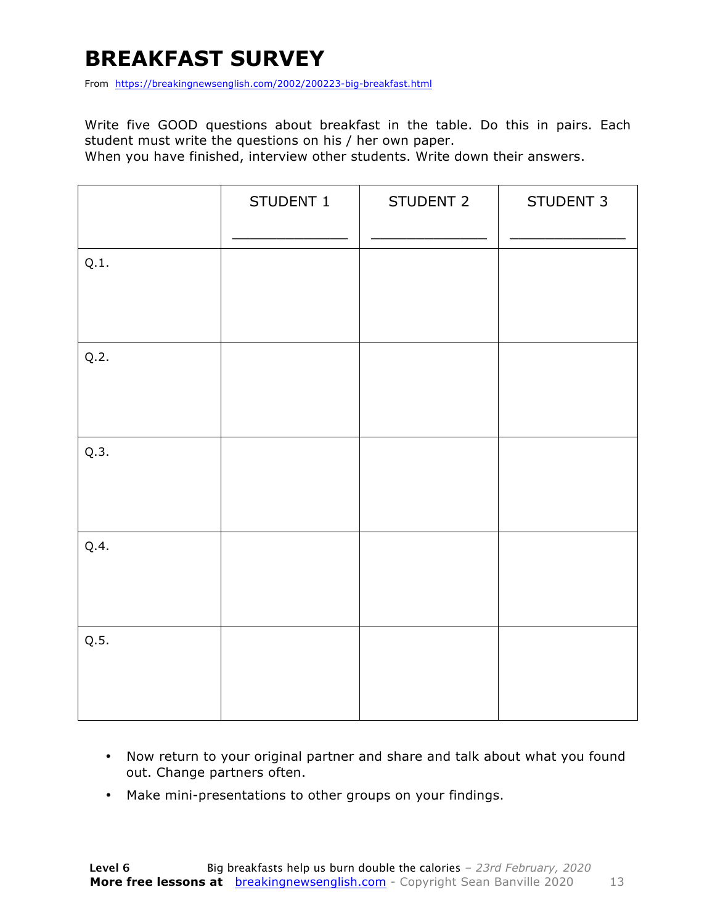#### **BREAKFAST SURVEY**

From https://breakingnewsenglish.com/2002/200223-big-breakfast.html

Write five GOOD questions about breakfast in the table. Do this in pairs. Each student must write the questions on his / her own paper.

When you have finished, interview other students. Write down their answers.

|      | STUDENT 1 | STUDENT 2 | STUDENT 3 |
|------|-----------|-----------|-----------|
| Q.1. |           |           |           |
| Q.2. |           |           |           |
| Q.3. |           |           |           |
| Q.4. |           |           |           |
| Q.5. |           |           |           |

- Now return to your original partner and share and talk about what you found out. Change partners often.
- Make mini-presentations to other groups on your findings.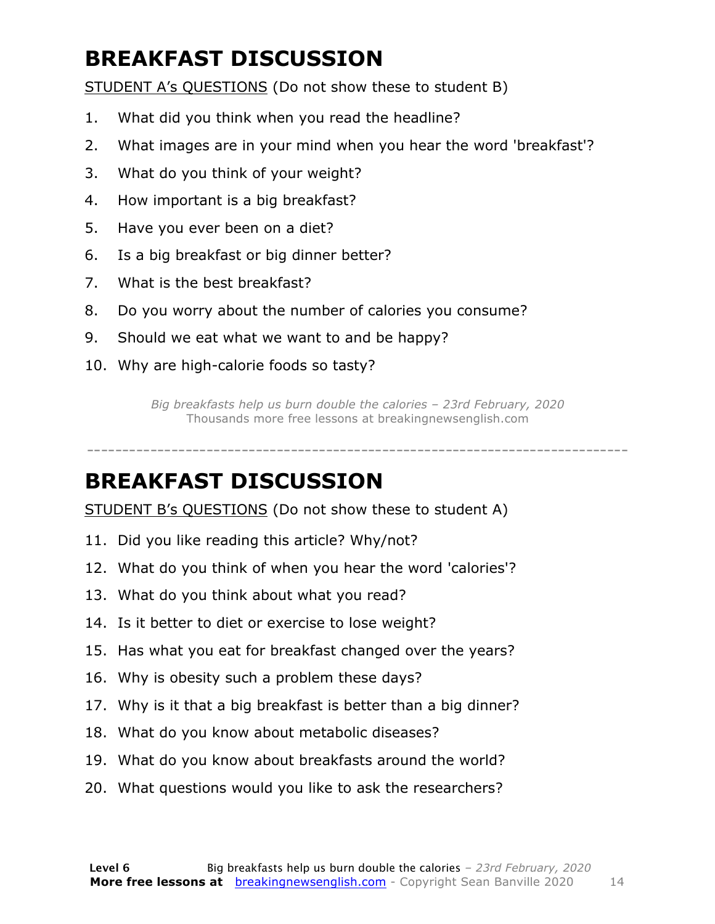### **BREAKFAST DISCUSSION**

STUDENT A's QUESTIONS (Do not show these to student B)

- 1. What did you think when you read the headline?
- 2. What images are in your mind when you hear the word 'breakfast'?
- 3. What do you think of your weight?
- 4. How important is a big breakfast?
- 5. Have you ever been on a diet?
- 6. Is a big breakfast or big dinner better?
- 7. What is the best breakfast?
- 8. Do you worry about the number of calories you consume?
- 9. Should we eat what we want to and be happy?
- 10. Why are high-calorie foods so tasty?

*Big breakfasts help us burn double the calories – 23rd February, 2020* Thousands more free lessons at breakingnewsenglish.com

-----------------------------------------------------------------------------

#### **BREAKFAST DISCUSSION**

STUDENT B's QUESTIONS (Do not show these to student A)

- 11. Did you like reading this article? Why/not?
- 12. What do you think of when you hear the word 'calories'?
- 13. What do you think about what you read?
- 14. Is it better to diet or exercise to lose weight?
- 15. Has what you eat for breakfast changed over the years?
- 16. Why is obesity such a problem these days?
- 17. Why is it that a big breakfast is better than a big dinner?
- 18. What do you know about metabolic diseases?
- 19. What do you know about breakfasts around the world?
- 20. What questions would you like to ask the researchers?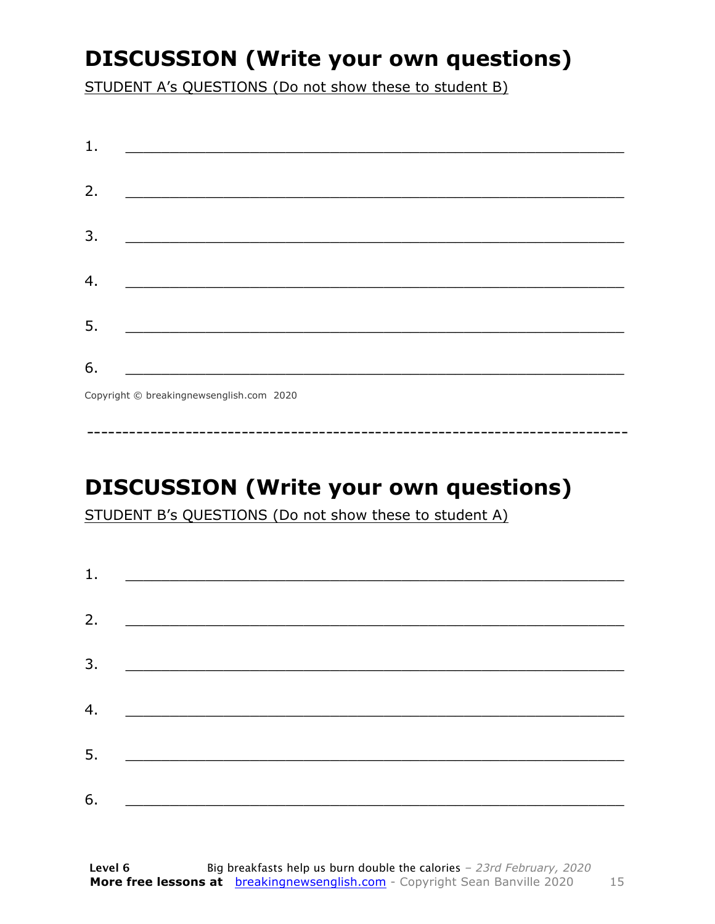### **DISCUSSION (Write your own questions)**

STUDENT A's QUESTIONS (Do not show these to student B)

| 1. |                                          |
|----|------------------------------------------|
|    |                                          |
| 2. |                                          |
|    |                                          |
| 3. |                                          |
|    |                                          |
| 4. |                                          |
|    |                                          |
| 5. |                                          |
|    |                                          |
| 6. |                                          |
|    | Copyright © breakingnewsenglish.com 2020 |

### **DISCUSSION (Write your own questions)**

STUDENT B's QUESTIONS (Do not show these to student A)

| 1. |                                                                                                                         |  |  |
|----|-------------------------------------------------------------------------------------------------------------------------|--|--|
|    |                                                                                                                         |  |  |
| 2. | <u> 1980 - Andrea Stationer, fransk politiker (d. 1980)</u>                                                             |  |  |
| 3. |                                                                                                                         |  |  |
|    |                                                                                                                         |  |  |
| 4. | <u> 1980 - Jan Samuel Barbara, margaret eta idazlea (h. 1980).</u>                                                      |  |  |
| 5. | <u> 1986 - Johann Stoff, deutscher Stoffen und der Stoffen und der Stoffen und der Stoffen und der Stoffen und der </u> |  |  |
|    |                                                                                                                         |  |  |
| 6. | <u> 1989 - Johann John Stone, market fan it ferskearre fan it ferskearre fan it ferskearre fan it ferskearre fan i</u>  |  |  |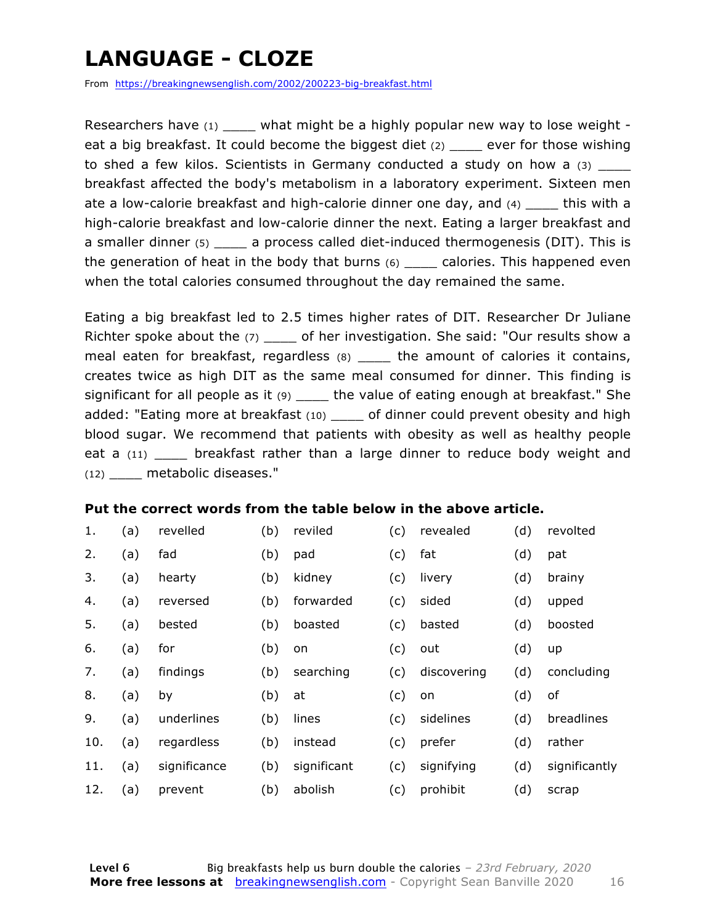### **LANGUAGE - CLOZE**

From https://breakingnewsenglish.com/2002/200223-big-breakfast.html

Researchers have  $(1)$  what might be a highly popular new way to lose weight eat a big breakfast. It could become the biggest diet (2) \_\_\_\_ ever for those wishing to shed a few kilos. Scientists in Germany conducted a study on how a (3) breakfast affected the body's metabolism in a laboratory experiment. Sixteen men ate a low-calorie breakfast and high-calorie dinner one day, and  $(4)$  \_\_\_\_\_ this with a high-calorie breakfast and low-calorie dinner the next. Eating a larger breakfast and a smaller dinner (5) a process called diet-induced thermogenesis (DIT). This is the generation of heat in the body that burns  $(6)$  calories. This happened even when the total calories consumed throughout the day remained the same.

Eating a big breakfast led to 2.5 times higher rates of DIT. Researcher Dr Juliane Richter spoke about the (7) \_\_\_\_\_ of her investigation. She said: "Our results show a meal eaten for breakfast, regardless (8) \_\_\_\_ the amount of calories it contains, creates twice as high DIT as the same meal consumed for dinner. This finding is significant for all people as it  $(9)$  \_\_\_\_ the value of eating enough at breakfast." She added: "Eating more at breakfast (10) of dinner could prevent obesity and high blood sugar. We recommend that patients with obesity as well as healthy people eat a (11) \_\_\_\_ breakfast rather than a large dinner to reduce body weight and (12) metabolic diseases."

#### **Put the correct words from the table below in the above article.**

| 1.  | (a) | revelled     | (b) | reviled     | (c) | revealed    | (d) | revolted      |
|-----|-----|--------------|-----|-------------|-----|-------------|-----|---------------|
| 2.  | (a) | fad          | (b) | pad         | (c) | fat         | (d) | pat           |
| 3.  | (a) | hearty       | (b) | kidney      | (c) | livery      | (d) | brainy        |
| 4.  | (a) | reversed     | (b) | forwarded   | (c) | sided       | (d) | upped         |
| 5.  | (a) | bested       | (b) | boasted     | (c) | basted      | (d) | boosted       |
| 6.  | (a) | for          | (b) | on          | (c) | out         | (d) | up            |
| 7.  | (a) | findings     | (b) | searching   | (c) | discovering | (d) | concluding    |
| 8.  | (a) | by           | (b) | at          | (c) | on          | (d) | of            |
| 9.  | (a) | underlines   | (b) | lines       | (c) | sidelines   | (d) | breadlines    |
| 10. | (a) | regardless   | (b) | instead     | (c) | prefer      | (d) | rather        |
| 11. | (a) | significance | (b) | significant | (c) | signifying  | (d) | significantly |
| 12. | (a) | prevent      | (b) | abolish     | (c) | prohibit    | (d) | scrap         |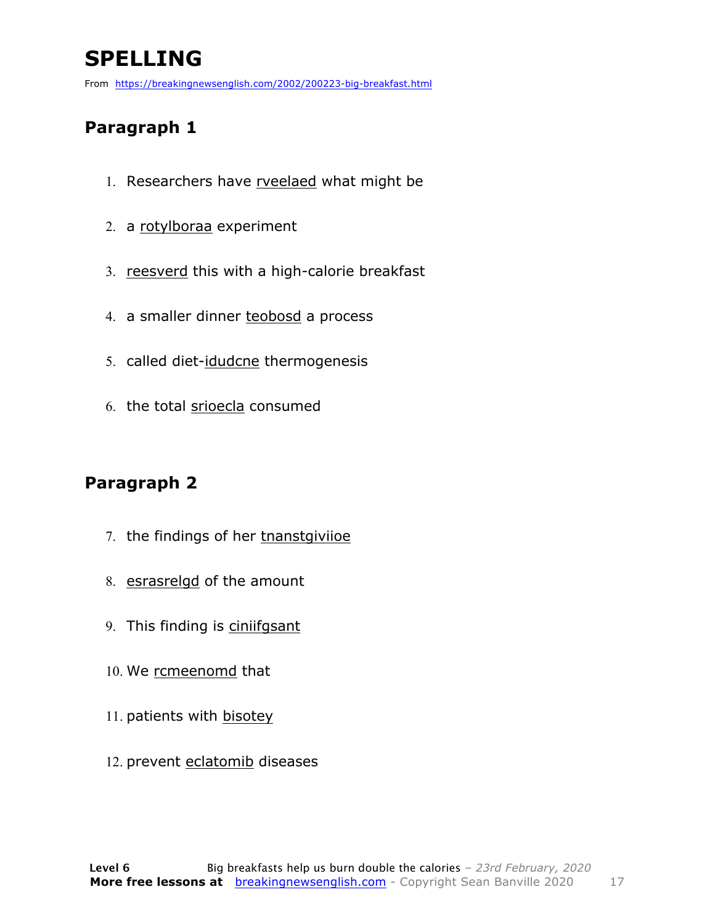### **SPELLING**

From https://breakingnewsenglish.com/2002/200223-big-breakfast.html

#### **Paragraph 1**

- 1. Researchers have rveelaed what might be
- 2. a rotylboraa experiment
- 3. reesverd this with a high-calorie breakfast
- 4. a smaller dinner teobosd a process
- 5. called diet-idudcne thermogenesis
- 6. the total srioecla consumed

#### **Paragraph 2**

- 7. the findings of her tnanstgiviioe
- 8. esrasrelgd of the amount
- 9. This finding is ciniifgsant
- 10. We rcmeenomd that
- 11. patients with bisotey
- 12. prevent eclatomib diseases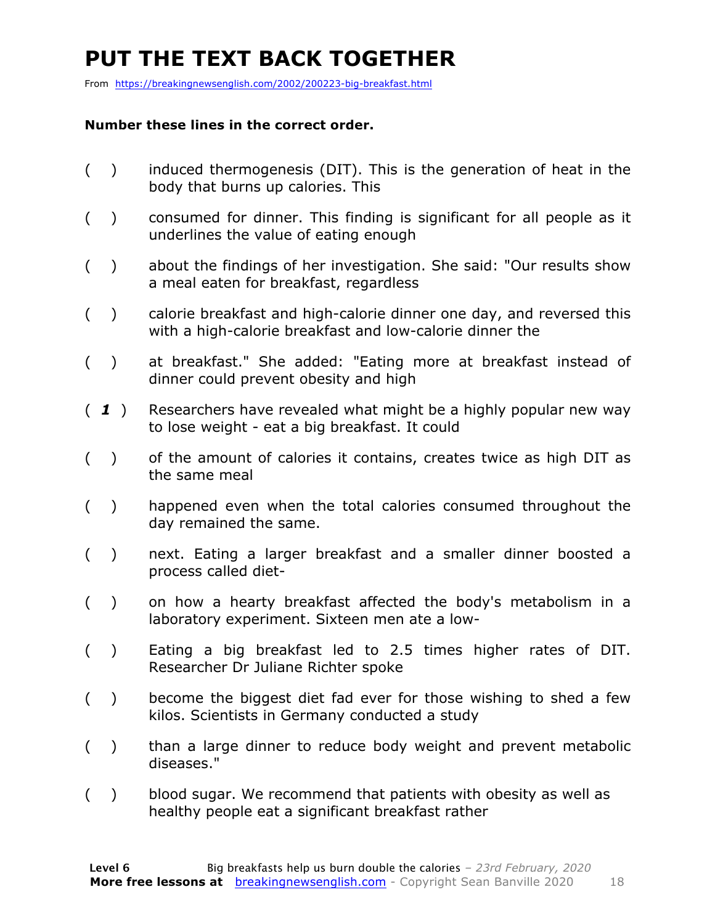### **PUT THE TEXT BACK TOGETHER**

From https://breakingnewsenglish.com/2002/200223-big-breakfast.html

#### **Number these lines in the correct order.**

- ( ) induced thermogenesis (DIT). This is the generation of heat in the body that burns up calories. This
- ( ) consumed for dinner. This finding is significant for all people as it underlines the value of eating enough
- ( ) about the findings of her investigation. She said: "Our results show a meal eaten for breakfast, regardless
- ( ) calorie breakfast and high-calorie dinner one day, and reversed this with a high-calorie breakfast and low-calorie dinner the
- ( ) at breakfast." She added: "Eating more at breakfast instead of dinner could prevent obesity and high
- ( *1* ) Researchers have revealed what might be a highly popular new way to lose weight - eat a big breakfast. It could
- ( ) of the amount of calories it contains, creates twice as high DIT as the same meal
- ( ) happened even when the total calories consumed throughout the day remained the same.
- ( ) next. Eating a larger breakfast and a smaller dinner boosted a process called diet-
- ( ) on how a hearty breakfast affected the body's metabolism in a laboratory experiment. Sixteen men ate a low-
- ( ) Eating a big breakfast led to 2.5 times higher rates of DIT. Researcher Dr Juliane Richter spoke
- ( ) become the biggest diet fad ever for those wishing to shed a few kilos. Scientists in Germany conducted a study
- ( ) than a large dinner to reduce body weight and prevent metabolic diseases."
- ( ) blood sugar. We recommend that patients with obesity as well as healthy people eat a significant breakfast rather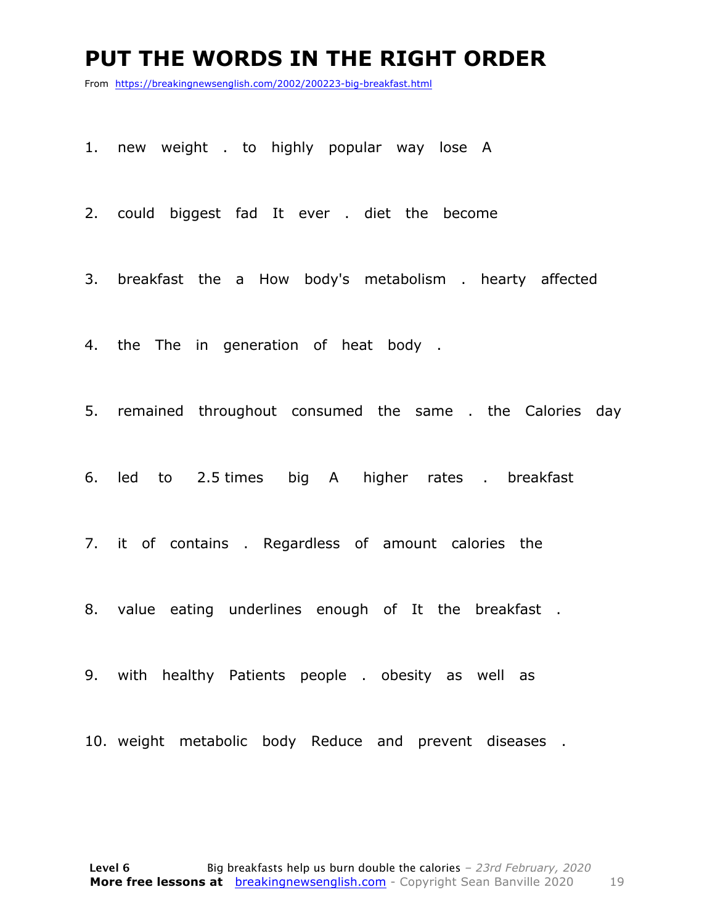#### **PUT THE WORDS IN THE RIGHT ORDER**

From https://breakingnewsenglish.com/2002/200223-big-breakfast.html

1. new weight . to highly popular way lose A

2. could biggest fad It ever . diet the become

3. breakfast the a How body's metabolism . hearty affected

4. the The in generation of heat body .

5. remained throughout consumed the same . the Calories day

6. led to 2.5 times big A higher rates . breakfast

7. it of contains . Regardless of amount calories the

8. value eating underlines enough of It the breakfast .

9. with healthy Patients people . obesity as well as

10. weight metabolic body Reduce and prevent diseases .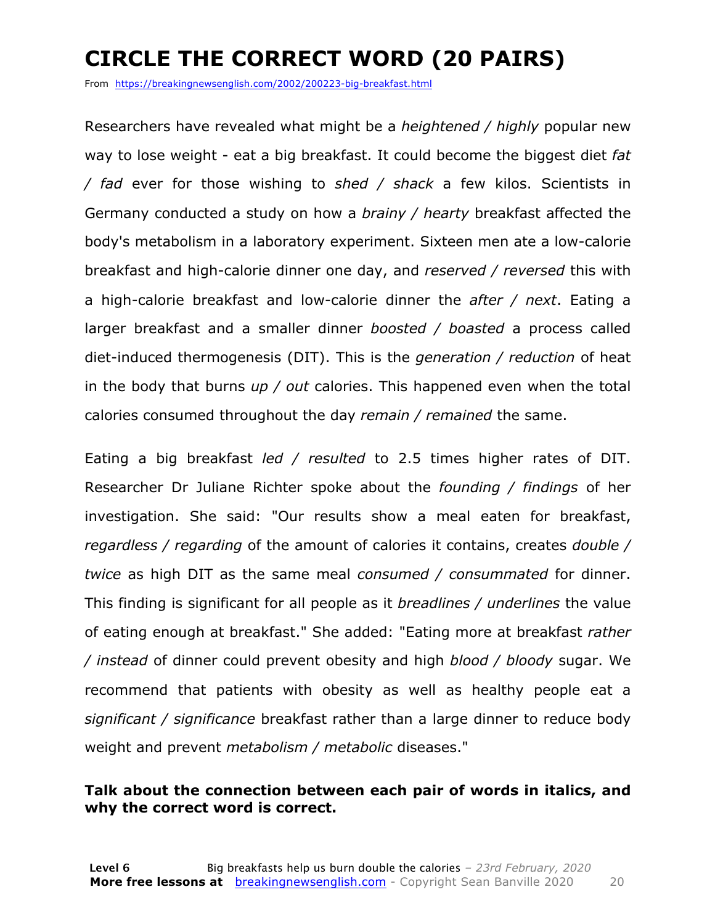### **CIRCLE THE CORRECT WORD (20 PAIRS)**

From https://breakingnewsenglish.com/2002/200223-big-breakfast.html

Researchers have revealed what might be a *heightened / highly* popular new way to lose weight - eat a big breakfast. It could become the biggest diet *fat / fad* ever for those wishing to *shed / shack* a few kilos. Scientists in Germany conducted a study on how a *brainy / hearty* breakfast affected the body's metabolism in a laboratory experiment. Sixteen men ate a low-calorie breakfast and high-calorie dinner one day, and *reserved / reversed* this with a high-calorie breakfast and low-calorie dinner the *after / next*. Eating a larger breakfast and a smaller dinner *boosted / boasted* a process called diet-induced thermogenesis (DIT). This is the *generation / reduction* of heat in the body that burns *up / out* calories. This happened even when the total calories consumed throughout the day *remain / remained* the same.

Eating a big breakfast *led / resulted* to 2.5 times higher rates of DIT. Researcher Dr Juliane Richter spoke about the *founding / findings* of her investigation. She said: "Our results show a meal eaten for breakfast, *regardless / regarding* of the amount of calories it contains, creates *double / twice* as high DIT as the same meal *consumed / consummated* for dinner. This finding is significant for all people as it *breadlines / underlines* the value of eating enough at breakfast." She added: "Eating more at breakfast *rather / instead* of dinner could prevent obesity and high *blood / bloody* sugar. We recommend that patients with obesity as well as healthy people eat a *significant / significance* breakfast rather than a large dinner to reduce body weight and prevent *metabolism / metabolic* diseases."

#### **Talk about the connection between each pair of words in italics, and why the correct word is correct.**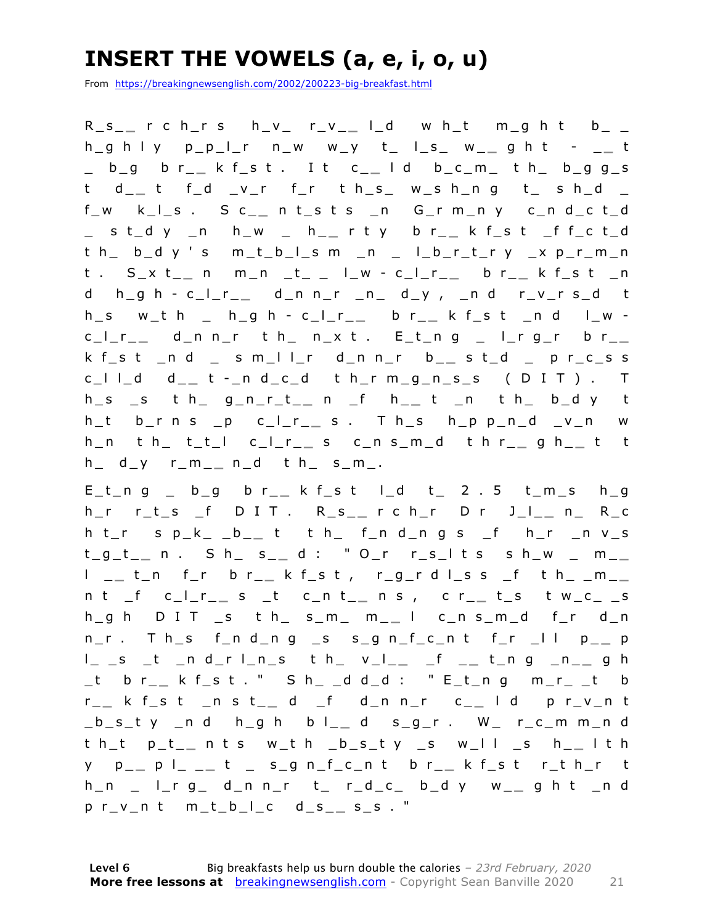### **INSERT THE VOWELS (a, e, i, o, u)**

From https://breakingnewsenglish.com/2002/200223-big-breakfast.html

R\_s\_ **\_** r c h\_r s h\_v\_ r\_v\_ **\_** l\_d w h\_t m\_g h t b\_ \_ h\_g h l y p\_p\_l\_r n\_w w\_y t\_ l\_s\_ w\_ **\_** g h t - \_ **\_** t \_ b\_g b r\_ **\_** k f\_s t . I t c\_ **\_** l d b\_c\_m\_ t h\_ b\_g g\_s t d\_ **\_** t f\_d \_v\_r f\_r t h\_s\_ w\_s h\_n g t\_ s h\_d \_ f\_w k\_l\_s . S c\_ **\_** n t\_s t s \_n G\_r m\_n y c\_n d\_c t\_d \_ s t\_d y \_n h\_w \_ h\_ **\_** r t y b r\_ **\_** k f\_s t \_f f\_c t\_d t h\_ b\_d y ' s m\_t\_b\_l\_s m \_n \_ l\_b\_r\_t\_r y \_x p\_r\_m\_n t . S\_x t\_ **\_** n m\_n \_t\_ \_ l\_w - c\_l\_r\_ **\_** b r\_ **\_** k f\_s t \_n d h\_g h - c \_ l\_r\_ **\_** d\_n n\_r \_n\_ d\_y , \_n d r\_v\_r s\_d t  $h_s$  w\_t h \_ h\_g h - c\_l\_r\_\_ b r\_\_ k f\_s t \_n d l\_w c\_l\_r\_ **\_** d\_n n\_r t h\_ n\_x t . E\_t\_n g \_ l\_r g\_r b r\_ **\_**  k f\_s t \_n d \_ s m\_l l\_r d\_n n\_r b\_ **\_** s t\_d \_ p r\_c\_s s c\_l l\_d d\_ **\_** t - \_n d\_c\_d t h\_r m\_g\_n\_s\_s ( D I T ) . T h\_s \_s t h\_ g\_n\_r\_t\_ **\_** n \_f h\_ **\_** t \_n t h\_ b\_d y t h\_t b\_r n s \_p c\_l\_r\_ **\_** s . T h\_s h\_p p\_n\_d \_v\_n w h\_n t h\_ t\_t\_l c\_l\_r\_ **\_** s c\_n s\_m\_d t h r\_ **\_** g h\_ **\_** t t h\_ d\_y r\_m\_ **\_** n\_d t h\_ s\_m\_.

E\_t\_n g \_ b\_g b r\_ **\_** k f\_s t l\_d t\_ 2 . 5 t\_m\_s h\_g h\_r r\_t\_s \_f D I T . R\_s\_ **\_** r c h\_r D r J\_l\_ **\_** n\_ R\_c h t\_r s p\_k\_ \_b\_ **\_** t t h\_ f\_n d\_n g s \_f h\_r \_n v\_s t\_g\_t\_ **\_** n . S h\_ s\_ **\_** d : " O\_r r\_s\_l t s s h \_w \_ m\_ **\_**  l \_ **\_** t\_n f\_r b r\_ **\_** k f\_s t , r\_g\_r d l\_s s \_f t h\_ \_m\_ **\_**  n t \_f c\_l\_r\_ **\_** s \_t c\_n t\_ **\_** n s , c r\_ **\_** t\_s t w\_c\_ \_s h\_g h D I T \_s t h\_ s\_m\_ m\_ **\_** l c\_n s\_m\_d f\_r d\_n  $n_r$ . Th\_s f\_n d\_n g \_s s\_g n\_f\_c\_n t f\_r \_l l p\_\_ p l\_ \_s \_t \_n d\_r l\_n\_s t h\_ v\_l\_ **\_** \_f \_ **\_** t\_n g \_n\_ **\_** g h \_t b r\_ **\_** k f\_s t . " S h\_ \_d d\_d : " E\_t\_n g m\_r\_ \_t b r \_ **\_** k f\_s t \_n s t\_ **\_** d \_f d\_n n\_r c\_ **\_** l d p r\_v\_n t \_b\_s\_t y \_n d h\_g h b l\_ **\_** d s\_g\_r . W\_ r\_c \_m m\_n d t h\_t p\_t\_ **\_** n t s w\_t h \_b\_s\_t y \_s w\_l l \_s h\_ **\_** l t h y p\_ **\_** p l\_ \_ **\_** t \_ s\_g n\_f\_c\_n t b r\_ **\_** k f\_s t r\_t h\_r t h\_n \_ l\_r g\_ d\_n n\_r t\_ r\_d\_c\_ b\_d y w\_ **\_** g h t \_n d p r\_v\_n t m\_t\_b\_l\_c d\_s\_ **\_** s\_s . "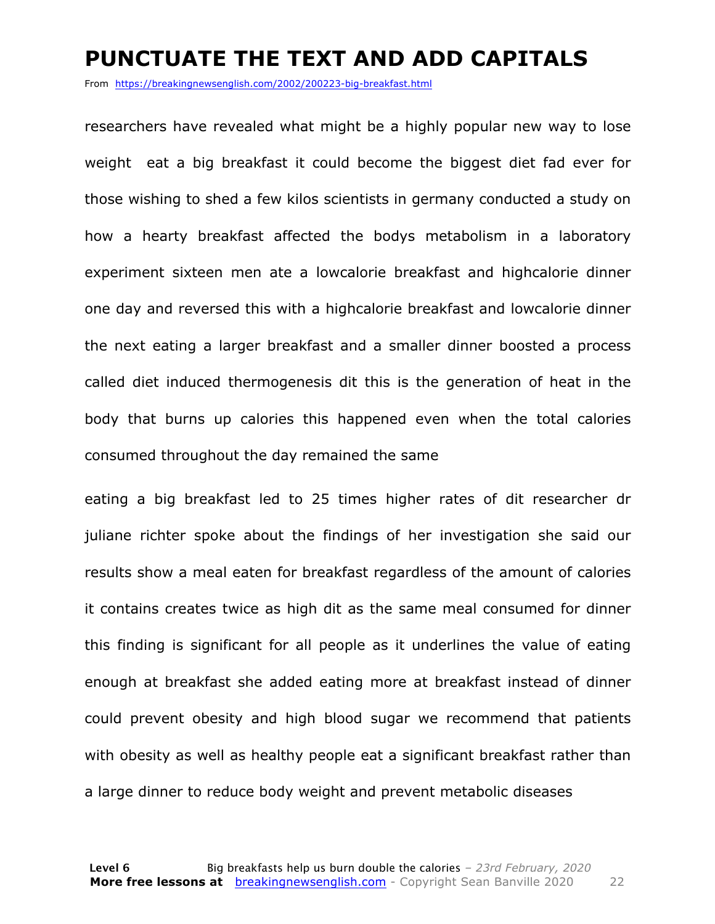#### **PUNCTUATE THE TEXT AND ADD CAPITALS**

From https://breakingnewsenglish.com/2002/200223-big-breakfast.html

researchers have revealed what might be a highly popular new way to lose weight eat a big breakfast it could become the biggest diet fad ever for those wishing to shed a few kilos scientists in germany conducted a study on how a hearty breakfast affected the bodys metabolism in a laboratory experiment sixteen men ate a lowcalorie breakfast and highcalorie dinner one day and reversed this with a highcalorie breakfast and lowcalorie dinner the next eating a larger breakfast and a smaller dinner boosted a process called diet induced thermogenesis dit this is the generation of heat in the body that burns up calories this happened even when the total calories consumed throughout the day remained the same

eating a big breakfast led to 25 times higher rates of dit researcher dr juliane richter spoke about the findings of her investigation she said our results show a meal eaten for breakfast regardless of the amount of calories it contains creates twice as high dit as the same meal consumed for dinner this finding is significant for all people as it underlines the value of eating enough at breakfast she added eating more at breakfast instead of dinner could prevent obesity and high blood sugar we recommend that patients with obesity as well as healthy people eat a significant breakfast rather than a large dinner to reduce body weight and prevent metabolic diseases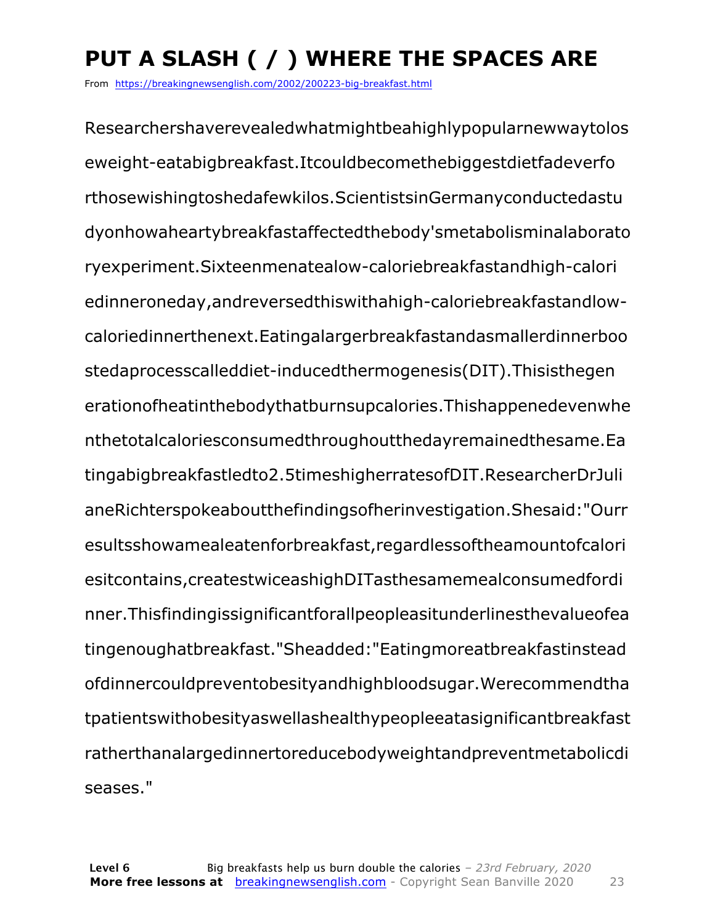### **PUT A SLASH ( / ) WHERE THE SPACES ARE**

From https://breakingnewsenglish.com/2002/200223-big-breakfast.html

Researchershaverevealedwhatmightbeahighlypopularnewwaytolos eweight-eatabigbreakfast.Itcouldbecomethebiggestdietfadeverfo rthosewishingtoshedafewkilos.ScientistsinGermanyconductedastu dyonhowaheartybreakfastaffectedthebody'smetabolisminalaborato ryexperiment.Sixteenmenatealow-caloriebreakfastandhigh-calori edinneroneday,andreversedthiswithahigh-caloriebreakfastandlowcaloriedinnerthenext.Eatingalargerbreakfastandasmallerdinnerboo stedaprocesscalleddiet-inducedthermogenesis(DIT).Thisisthegen erationofheatinthebodythatburnsupcalories.Thishappenedevenwhe nthetotalcaloriesconsumedthroughoutthedayremainedthesame.Ea tingabigbreakfastledto2.5timeshigherratesofDIT.ResearcherDrJuli aneRichterspokeaboutthefindingsofherinvestigation.Shesaid:"Ourr esultsshowamealeatenforbreakfast,regardlessoftheamountofcalori esitcontains,createstwiceashighDITasthesamemealconsumedfordi nner.Thisfindingissignificantforallpeopleasitunderlinesthevalueofea tingenoughatbreakfast."Sheadded:"Eatingmoreatbreakfastinstead ofdinnercouldpreventobesityandhighbloodsugar.Werecommendtha tpatientswithobesityaswellashealthypeopleeatasignificantbreakfast ratherthanalargedinnertoreducebodyweightandpreventmetabolicdi seases."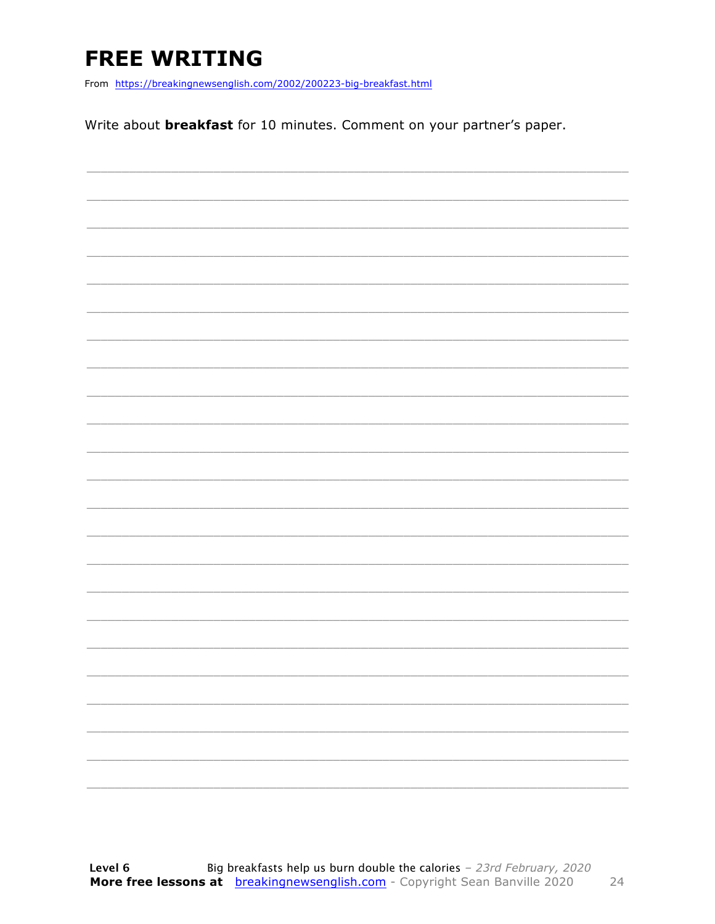### **FREE WRITING**

From https://breakingnewsenglish.com/2002/200223-big-breakfast.html

Write about **breakfast** for 10 minutes. Comment on your partner's paper.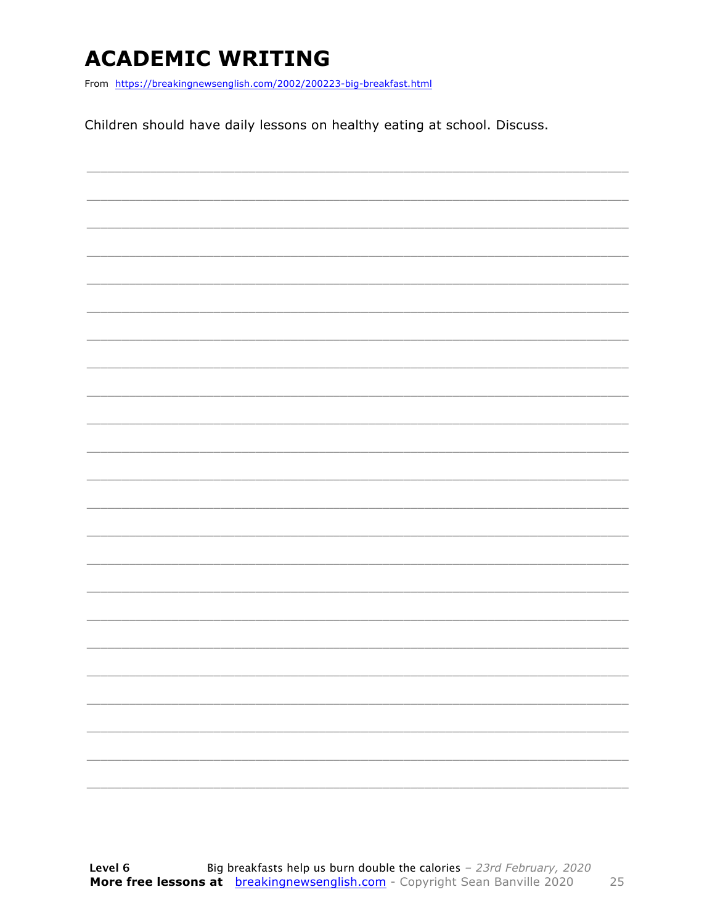### **ACADEMIC WRITING**

From https://breakingnewsenglish.com/2002/200223-big-breakfast.html

Children should have daily lessons on healthy eating at school. Discuss.

|                          |  |  | $\overline{\phantom{a}}$ |
|--------------------------|--|--|--------------------------|
|                          |  |  |                          |
| $\overline{\phantom{a}}$ |  |  | ________                 |
|                          |  |  |                          |
|                          |  |  |                          |
|                          |  |  |                          |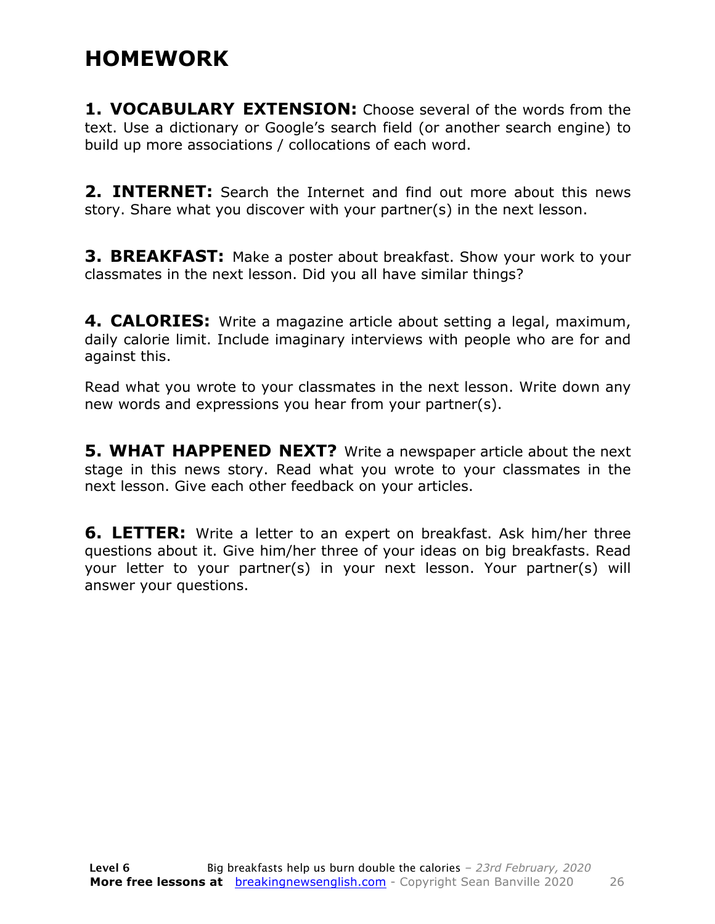#### **HOMEWORK**

**1. VOCABULARY EXTENSION:** Choose several of the words from the text. Use a dictionary or Google's search field (or another search engine) to build up more associations / collocations of each word.

**2. INTERNET:** Search the Internet and find out more about this news story. Share what you discover with your partner(s) in the next lesson.

**3. BREAKFAST:** Make a poster about breakfast. Show your work to your classmates in the next lesson. Did you all have similar things?

**4. CALORIES:** Write a magazine article about setting a legal, maximum, daily calorie limit. Include imaginary interviews with people who are for and against this.

Read what you wrote to your classmates in the next lesson. Write down any new words and expressions you hear from your partner(s).

**5. WHAT HAPPENED NEXT?** Write a newspaper article about the next stage in this news story. Read what you wrote to your classmates in the next lesson. Give each other feedback on your articles.

**6. LETTER:** Write a letter to an expert on breakfast. Ask him/her three questions about it. Give him/her three of your ideas on big breakfasts. Read your letter to your partner(s) in your next lesson. Your partner(s) will answer your questions.